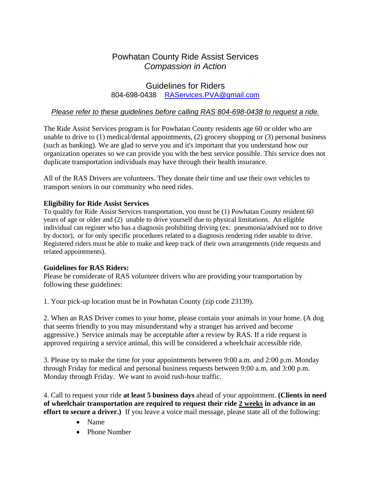# Powhatan County Ride Assist Services *Compassion in Action*

## Guidelines for Riders 804-698-0438 [RAServices.PVA@gmail.com](mailto:RAServices.PVA@gmail.com)

## *Please refer to these guidelines before calling RAS 804-698-0438 to request a ride.*

The Ride Assist Services program is for Powhatan County residents age 60 or older who are unable to drive to (1) medical/dental appointments, (2) grocery shopping or (3) personal business (such as banking). We are glad to serve you and it's important that you understand how our organization operates so we can provide you with the best service possible. This service does not duplicate transportation individuals may have through their health insurance.

All of the RAS Drivers are volunteers. They donate their time and use their own vehicles to transport seniors in our community who need rides.

#### **Eligibility for Ride Assist Services**

To qualify for Ride Assist Services transportation, you must be (1) Powhatan County resident 60 years of age or older and (2) unable to drive yourself due to physical limitations. An eligible individual can register who has a diagnosis prohibiting driving (ex: pneumonia/advised not to drive by doctor), or for only specific procedures related to a diagnosis rendering rider unable to drive. Registered riders must be able to make and keep track of their own arrangements (ride requests and related appointments).

#### **Guidelines for RAS Riders:**

Please be considerate of RAS volunteer drivers who are providing your transportation by following these guidelines:

1. Your pick-up location must be in Powhatan County (zip code 23139).

2. When an RAS Driver comes to your home, please contain your animals in your home. (A dog that seems friendly to you may misunderstand why a stranger has arrived and become aggressive.) Service animals may be acceptable after a review by RAS. If a ride request is approved requiring a service animal, this will be considered a wheelchair accessible ride.

3. Please try to make the time for your appointments between 9:00 a.m. and 2:00 p.m. Monday through Friday for medical and personal business requests between 9:00 a.m. and 3:00 p.m. Monday through Friday. We want to avoid rush-hour traffic.

4. Call to request your ride **at least 5 business days** ahead of your appointment. **(Clients in need of wheelchair transportation are required to request their ride 2 weeks in advance in an effort to secure a driver.)** If you leave a voice mail message, please state all of the following:

- Name
- Phone Number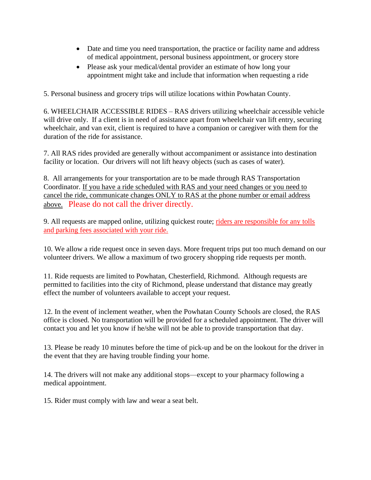- Date and time you need transportation, the practice or facility name and address of medical appointment, personal business appointment, or grocery store
- Please ask your medical/dental provider an estimate of how long your appointment might take and include that information when requesting a ride

5. Personal business and grocery trips will utilize locations within Powhatan County.

6. WHEELCHAIR ACCESSIBLE RIDES – RAS drivers utilizing wheelchair accessible vehicle will drive only. If a client is in need of assistance apart from wheelchair van lift entry, securing wheelchair, and van exit, client is required to have a companion or caregiver with them for the duration of the ride for assistance.

7. All RAS rides provided are generally without accompaniment or assistance into destination facility or location. Our drivers will not lift heavy objects (such as cases of water).

8. All arrangements for your transportation are to be made through RAS Transportation Coordinator. If you have a ride scheduled with RAS and your need changes or you need to cancel the ride, communicate changes ONLY to RAS at the phone number or email address above. Please do not call the driver directly.

9. All requests are mapped online, utilizing quickest route; riders are responsible for any tolls and parking fees associated with your ride.

10. We allow a ride request once in seven days. More frequent trips put too much demand on our volunteer drivers. We allow a maximum of two grocery shopping ride requests per month.

11. Ride requests are limited to Powhatan, Chesterfield, Richmond. Although requests are permitted to facilities into the city of Richmond, please understand that distance may greatly effect the number of volunteers available to accept your request.

12. In the event of inclement weather, when the Powhatan County Schools are closed, the RAS office is closed. No transportation will be provided for a scheduled appointment. The driver will contact you and let you know if he/she will not be able to provide transportation that day.

13. Please be ready 10 minutes before the time of pick-up and be on the lookout for the driver in the event that they are having trouble finding your home.

14. The drivers will not make any additional stops—except to your pharmacy following a medical appointment.

15. Rider must comply with law and wear a seat belt.